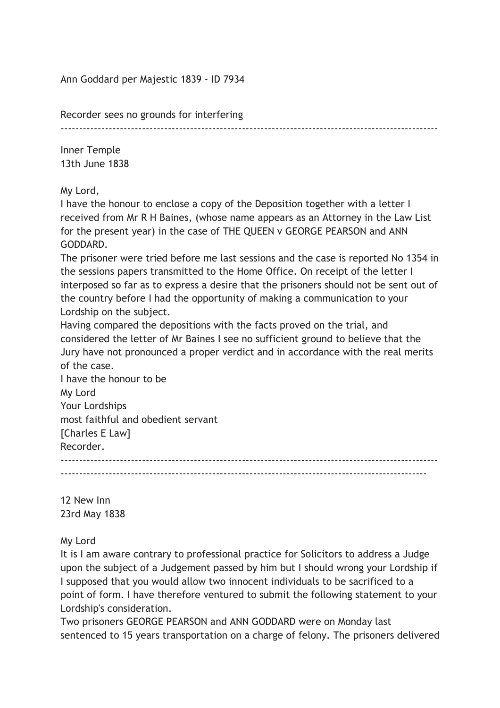Ann Goddard per Majestic 1839 - ID 7934

Recorder sees no grounds for interfering

 $-$ 

Inner Temple 13th June 1838

My Lord,

I have the honour to enclose a copy of the Deposition together with a letter I received from Mr R H Baines, (whose name appears as an Attorney in the Law List for the present year) in the case of THE QUEEN v GEORGE PEARSON and ANN GODDARD.

The prisoner were tried before me last sessions and the case is reported No 1354 in the sessions papers transmitted to the Home Office. On receipt of the letter I interposed so far as to express a desire that the prisoners should not be sent out of the country before I had the opportunity of making a communication to your Lordship on the subject.

Having compared the depositions with the facts proved on the trial, and considered the letter of Mr Baines I see no sufficient ground to believe that the Jury have not pronounced a proper verdict and in accordance with the real merits of the case.

I have the honour to be My Lord Your Lordships most faithful and obedient servant [Charles E Law] Recorder. ------------------------------------------------------------------------------------------------------ ---------------------------------------------------------------------------------------------------

12 New Inn 23rd May 1838

My Lord

It is I am aware contrary to professional practice for Solicitors to address a Judge upon the subject of a Judgement passed by him but I should wrong your Lordship if I supposed that you would allow two innocent individuals to be sacrificed to a point of form. I have therefore ventured to submit the following statement to your Lordship's consideration.

Two prisoners GEORGE PEARSON and ANN GODDARD were on Monday last sentenced to 15 years transportation on a charge of felony. The prisoners delivered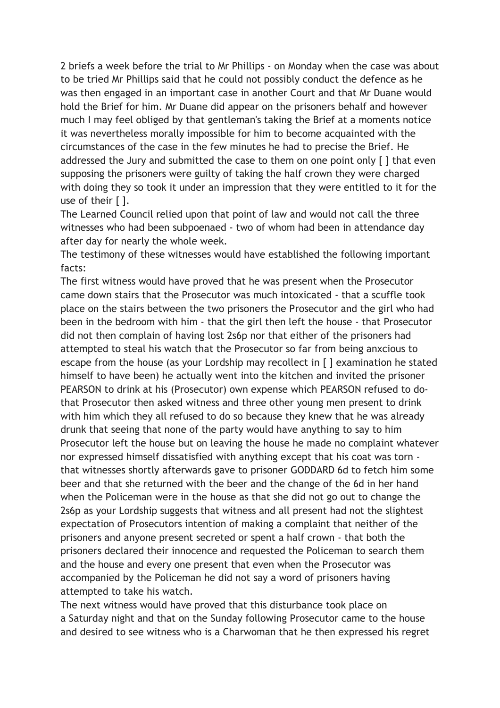2 briefs a week before the trial to Mr Phillips - on Monday when the case was about to be tried Mr Phillips said that he could not possibly conduct the defence as he was then engaged in an important case in another Court and that Mr Duane would hold the Brief for him. Mr Duane did appear on the prisoners behalf and however much I may feel obliged by that gentleman's taking the Brief at a moments notice it was nevertheless morally impossible for him to become acquainted with the circumstances of the case in the few minutes he had to precise the Brief. He addressed the Jury and submitted the case to them on one point only [ ] that even supposing the prisoners were guilty of taking the half crown they were charged with doing they so took it under an impression that they were entitled to it for the use of their [ ].

The Learned Council relied upon that point of law and would not call the three witnesses who had been subpoenaed - two of whom had been in attendance day after day for nearly the whole week.

The testimony of these witnesses would have established the following important facts:

The first witness would have proved that he was present when the Prosecutor came down stairs that the Prosecutor was much intoxicated - that a scuffle took place on the stairs between the two prisoners the Prosecutor and the girl who had been in the bedroom with him - that the girl then left the house - that Prosecutor did not then complain of having lost 2s6p nor that either of the prisoners had attempted to steal his watch that the Prosecutor so far from being anxcious to escape from the house (as your Lordship may recollect in [ ] examination he stated himself to have been) he actually went into the kitchen and invited the prisoner PEARSON to drink at his (Prosecutor) own expense which PEARSON refused to dothat Prosecutor then asked witness and three other young men present to drink with him which they all refused to do so because they knew that he was already drunk that seeing that none of the party would have anything to say to him Prosecutor left the house but on leaving the house he made no complaint whatever nor expressed himself dissatisfied with anything except that his coat was torn that witnesses shortly afterwards gave to prisoner GODDARD 6d to fetch him some beer and that she returned with the beer and the change of the 6d in her hand when the Policeman were in the house as that she did not go out to change the 2s6p as your Lordship suggests that witness and all present had not the slightest expectation of Prosecutors intention of making a complaint that neither of the prisoners and anyone present secreted or spent a half crown - that both the prisoners declared their innocence and requested the Policeman to search them and the house and every one present that even when the Prosecutor was accompanied by the Policeman he did not say a word of prisoners having attempted to take his watch.

The next witness would have proved that this disturbance took place on a Saturday night and that on the Sunday following Prosecutor came to the house and desired to see witness who is a Charwoman that he then expressed his regret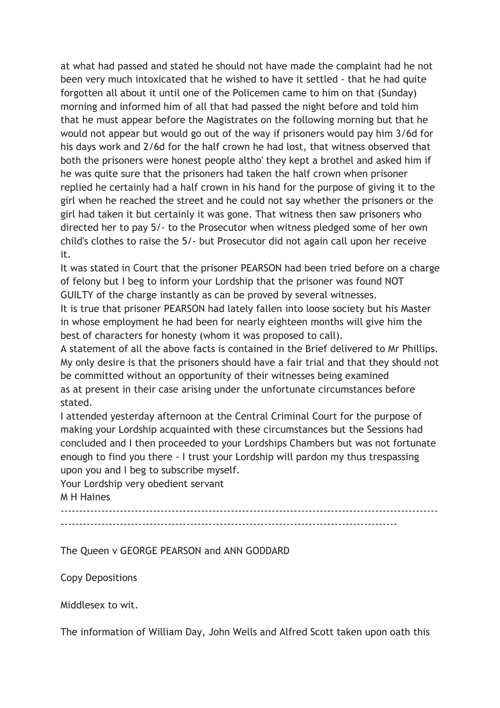at what had passed and stated he should not have made the complaint had he not been very much intoxicated that he wished to have it settled - that he had quite forgotten all about it until one of the Policemen came to him on that (Sunday) morning and informed him of all that had passed the night before and told him that he must appear before the Magistrates on the following morning but that he would not appear but would go out of the way if prisoners would pay him 3/6d for his days work and 2/6d for the half crown he had lost, that witness observed that both the prisoners were honest people altho' they kept a brothel and asked him if he was quite sure that the prisoners had taken the half crown when prisoner replied he certainly had a half crown in his hand for the purpose of giving it to the girl when he reached the street and he could not say whether the prisoners or the girl had taken it but certainly it was gone. That witness then saw prisoners who directed her to pay 5/- to the Prosecutor when witness pledged some of her own child's clothes to raise the 5/- but Prosecutor did not again call upon her receive it.

It was stated in Court that the prisoner PEARSON had been tried before on a charge of felony but I beg to inform your Lordship that the prisoner was found NOT GUILTY of the charge instantly as can be proved by several witnesses.

It is true that prisoner PEARSON had lately fallen into loose society but his Master in whose employment he had been for nearly eighteen months will give him the best of characters for honesty (whom it was proposed to call).

A statement of all the above facts is contained in the Brief delivered to Mr Phillips. My only desire is that the prisoners should have a fair trial and that they should not be committed without an opportunity of their witnesses being examined as at present in their case arising under the unfortunate circumstances before stated.

I attended yesterday afternoon at the Central Criminal Court for the purpose of making your Lordship acquainted with these circumstances but the Sessions had concluded and I then proceeded to your Lordships Chambers but was not fortunate enough to find you there - I trust your Lordship will pardon my thus trespassing upon you and I beg to subscribe myself.

Your Lordship very obedient servant M H Haines

------------------------------------------------------------------------------------------------------ -------------------------------------------------------------------------------------------

The Queen v GEORGE PEARSON and ANN GODDARD

Copy Depositions

Middlesex to wit.

The information of William Day, John Wells and Alfred Scott taken upon oath this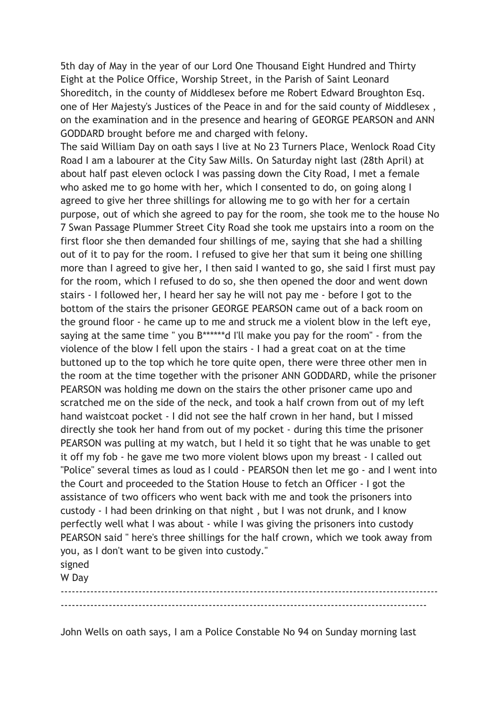5th day of May in the year of our Lord One Thousand Eight Hundred and Thirty Eight at the Police Office, Worship Street, in the Parish of Saint Leonard Shoreditch, in the county of Middlesex before me Robert Edward Broughton Esq. one of Her Majesty's Justices of the Peace in and for the said county of Middlesex , on the examination and in the presence and hearing of GEORGE PEARSON and ANN GODDARD brought before me and charged with felony.

The said William Day on oath says I live at No 23 Turners Place, Wenlock Road City Road I am a labourer at the City Saw Mills. On Saturday night last (28th April) at about half past eleven oclock I was passing down the City Road, I met a female who asked me to go home with her, which I consented to do, on going along I agreed to give her three shillings for allowing me to go with her for a certain purpose, out of which she agreed to pay for the room, she took me to the house No 7 Swan Passage Plummer Street City Road she took me upstairs into a room on the first floor she then demanded four shillings of me, saying that she had a shilling out of it to pay for the room. I refused to give her that sum it being one shilling more than I agreed to give her, I then said I wanted to go, she said I first must pay for the room, which I refused to do so, she then opened the door and went down stairs - I followed her, I heard her say he will not pay me - before I got to the bottom of the stairs the prisoner GEORGE PEARSON came out of a back room on the ground floor - he came up to me and struck me a violent blow in the left eye, saying at the same time " you B\*\*\*\*\*\*d I'll make you pay for the room" - from the violence of the blow I fell upon the stairs - I had a great coat on at the time buttoned up to the top which he tore quite open, there were three other men in the room at the time together with the prisoner ANN GODDARD, while the prisoner PEARSON was holding me down on the stairs the other prisoner came upo and scratched me on the side of the neck, and took a half crown from out of my left hand waistcoat pocket - I did not see the half crown in her hand, but I missed directly she took her hand from out of my pocket - during this time the prisoner PEARSON was pulling at my watch, but I held it so tight that he was unable to get it off my fob - he gave me two more violent blows upon my breast - I called out "Police" several times as loud as I could - PEARSON then let me go - and I went into the Court and proceeded to the Station House to fetch an Officer - I got the assistance of two officers who went back with me and took the prisoners into custody - I had been drinking on that night , but I was not drunk, and I know perfectly well what I was about - while I was giving the prisoners into custody PEARSON said " here's three shillings for the half crown, which we took away from you, as I don't want to be given into custody." signed

W Day

------------------------------------------------------------------------------------------------------ ---------------------------------------------------------------------------------------------------

John Wells on oath says, I am a Police Constable No 94 on Sunday morning last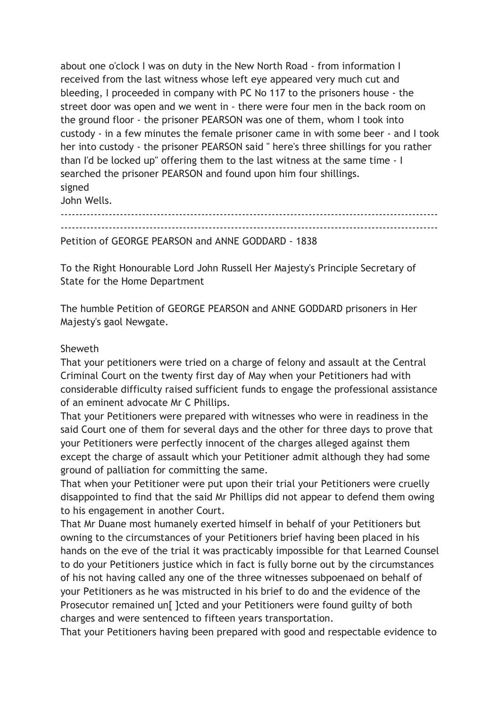about one o'clock I was on duty in the New North Road - from information I received from the last witness whose left eye appeared very much cut and bleeding, I proceeded in company with PC No 117 to the prisoners house - the street door was open and we went in - there were four men in the back room on the ground floor - the prisoner PEARSON was one of them, whom I took into custody - in a few minutes the female prisoner came in with some beer - and I took her into custody - the prisoner PEARSON said " here's three shillings for you rather than I'd be locked up" offering them to the last witness at the same time - I searched the prisoner PEARSON and found upon him four shillings. signed John Wells.

------------------------------------------------------------------------------------------------------ ------------------------------------------------------------------------------------------------------ Petition of GEORGE PEARSON and ANNE GODDARD - 1838

To the Right Honourable Lord John Russell Her Majesty's Principle Secretary of State for the Home Department

The humble Petition of GEORGE PEARSON and ANNE GODDARD prisoners in Her Majesty's gaol Newgate.

## **Sheweth**

That your petitioners were tried on a charge of felony and assault at the Central Criminal Court on the twenty first day of May when your Petitioners had with considerable difficulty raised sufficient funds to engage the professional assistance of an eminent advocate Mr C Phillips.

That your Petitioners were prepared with witnesses who were in readiness in the said Court one of them for several days and the other for three days to prove that your Petitioners were perfectly innocent of the charges alleged against them except the charge of assault which your Petitioner admit although they had some ground of palliation for committing the same.

That when your Petitioner were put upon their trial your Petitioners were cruelly disappointed to find that the said Mr Phillips did not appear to defend them owing to his engagement in another Court.

That Mr Duane most humanely exerted himself in behalf of your Petitioners but owning to the circumstances of your Petitioners brief having been placed in his hands on the eve of the trial it was practicably impossible for that Learned Counsel to do your Petitioners justice which in fact is fully borne out by the circumstances of his not having called any one of the three witnesses subpoenaed on behalf of your Petitioners as he was mistructed in his brief to do and the evidence of the Prosecutor remained un[ ]cted and your Petitioners were found guilty of both charges and were sentenced to fifteen years transportation.

That your Petitioners having been prepared with good and respectable evidence to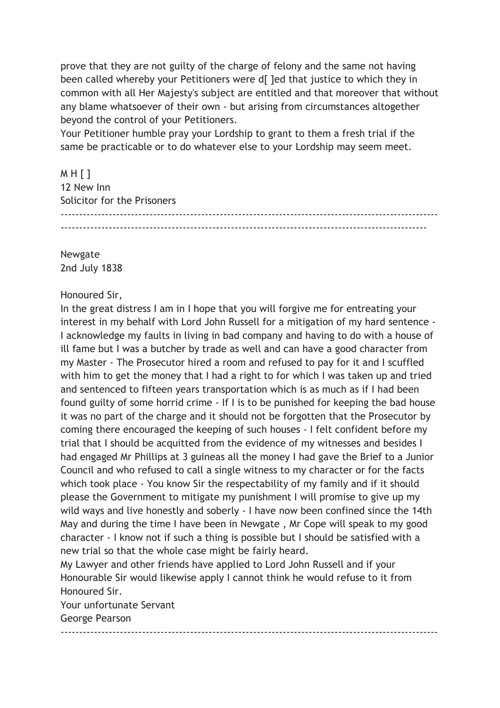prove that they are not guilty of the charge of felony and the same not having been called whereby your Petitioners were d[ ]ed that justice to which they in common with all Her Majesty's subject are entitled and that moreover that without any blame whatsoever of their own - but arising from circumstances altogether beyond the control of your Petitioners.

Your Petitioner humble pray your Lordship to grant to them a fresh trial if the same be practicable or to do whatever else to your Lordship may seem meet.

M H [ ] 12 New Inn Solicitor for the Prisoners ------------------------------------------------------------------------------------------------------ ---------------------------------------------------------------------------------------------------

Newgate 2nd July 1838

## Honoured Sir,

In the great distress I am in I hope that you will forgive me for entreating your interest in my behalf with Lord John Russell for a mitigation of my hard sentence - I acknowledge my faults in living in bad company and having to do with a house of ill fame but I was a butcher by trade as well and can have a good character from my Master - The Prosecutor hired a room and refused to pay for it and I scuffled with him to get the money that I had a right to for which I was taken up and tried and sentenced to fifteen years transportation which is as much as if I had been found guilty of some horrid crime - If I is to be punished for keeping the bad house it was no part of the charge and it should not be forgotten that the Prosecutor by coming there encouraged the keeping of such houses - I felt confident before my trial that I should be acquitted from the evidence of my witnesses and besides I had engaged Mr Phillips at 3 guineas all the money I had gave the Brief to a Junior Council and who refused to call a single witness to my character or for the facts which took place - You know Sir the respectability of my family and if it should please the Government to mitigate my punishment I will promise to give up my wild ways and live honestly and soberly - I have now been confined since the 14th May and during the time I have been in Newgate , Mr Cope will speak to my good character - I know not if such a thing is possible but I should be satisfied with a new trial so that the whole case might be fairly heard.

My Lawyer and other friends have applied to Lord John Russell and if your Honourable Sir would likewise apply I cannot think he would refuse to it from Honoured Sir.

------------------------------------------------------------------------------------------------------

Your unfortunate Servant George Pearson